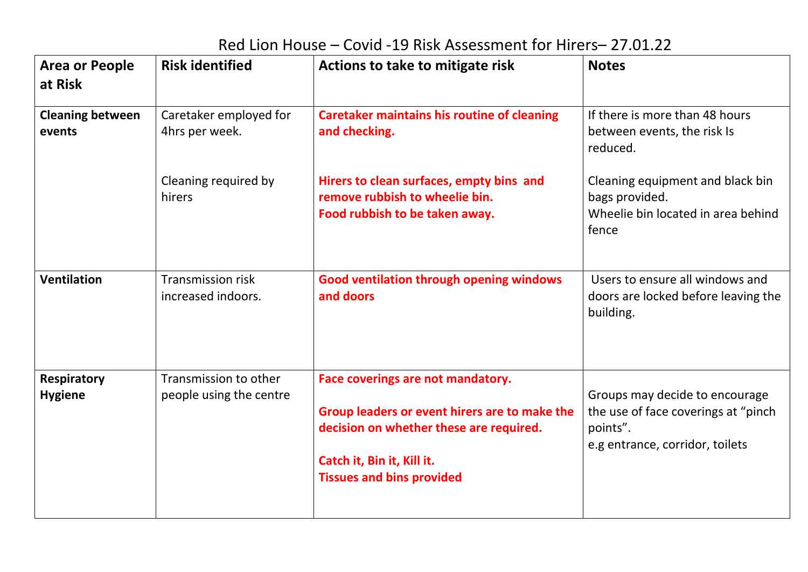## Red Lion House – Covid -19 Risk Assessment for Hirers– 27.01.22

| <b>Area or People</b><br>at Risk     | <b>Risk identified</b>                           | Actions to take to mitigate risk                                                                                                                                                                | <b>Notes</b>                                                                                                         |
|--------------------------------------|--------------------------------------------------|-------------------------------------------------------------------------------------------------------------------------------------------------------------------------------------------------|----------------------------------------------------------------------------------------------------------------------|
| <b>Cleaning between</b><br>events    | Caretaker employed for<br>4hrs per week.         | <b>Caretaker maintains his routine of cleaning</b><br>and checking.                                                                                                                             | If there is more than 48 hours<br>between events, the risk Is<br>reduced.                                            |
|                                      | Cleaning required by<br>hirers                   | Hirers to clean surfaces, empty bins and<br>remove rubbish to wheelie bin.<br>Food rubbish to be taken away.                                                                                    | Cleaning equipment and black bin<br>bags provided.<br>Wheelie bin located in area behind<br>fence                    |
| <b>Ventilation</b>                   | <b>Transmission risk</b><br>increased indoors.   | <b>Good ventilation through opening windows</b><br>and doors                                                                                                                                    | Users to ensure all windows and<br>doors are locked before leaving the<br>building.                                  |
| <b>Respiratory</b><br><b>Hygiene</b> | Transmission to other<br>people using the centre | Face coverings are not mandatory.<br>Group leaders or event hirers are to make the<br>decision on whether these are required.<br>Catch it, Bin it, Kill it.<br><b>Tissues and bins provided</b> | Groups may decide to encourage<br>the use of face coverings at "pinch<br>points".<br>e.g entrance, corridor, toilets |